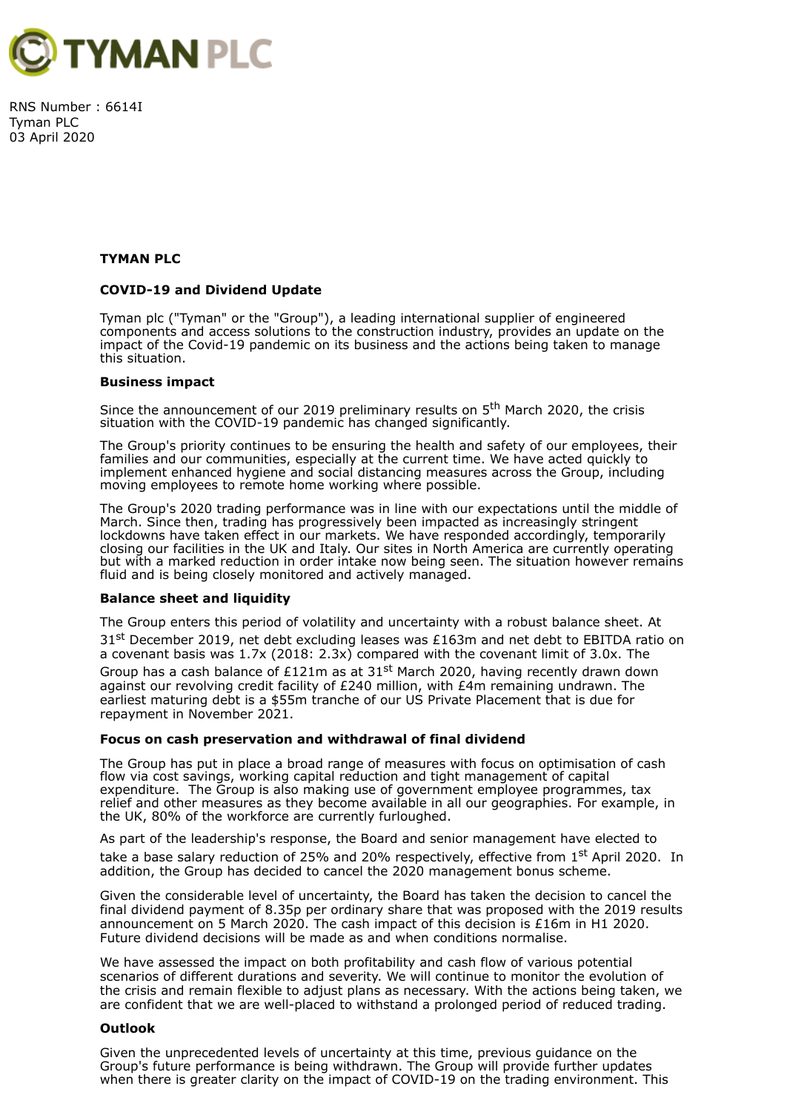

RNS Number : 6614I Tyman PLC 03 April 2020

### **TYMAN PLC**

### **COVID-19 and Dividend Update**

Tyman plc ("Tyman" or the "Group"), a leading international supplier of engineered components and access solutions to the construction industry, provides an update on the impact of the Covid-19 pandemic on its business and the actions being taken to manage this situation.

#### **Business impact**

Since the announcement of our 2019 preliminary results on 5<sup>th</sup> March 2020, the crisis situation with the COVID-19 pandemic has changed significantly.

The Group's priority continues to be ensuring the health and safety of our employees, their families and our communities, especially at the current time. We have acted quickly to implement enhanced hygiene and social distancing measures across the Group, including moving employees to remote home working where possible.

The Group's 2020 trading performance was in line with our expectations until the middle of March. Since then, trading has progressively been impacted as increasingly stringent lockdowns have taken effect in our markets. We have responded accordingly, temporarily closing our facilities in the UK and Italy. Our sites in North America are currently operating but with a marked reduction in order intake now being seen. The situation however remains fluid and is being closely monitored and actively managed.

#### **Balance sheet and liquidity**

The Group enters this period of volatility and uncertainty with a robust balance sheet. At 31<sup>st</sup> December 2019, net debt excluding leases was £163m and net debt to EBITDA ratio on a covenant basis was 1.7x (2018: 2.3x) compared with the covenant limit of 3.0x. The Group has a cash balance of £121m as at 31<sup>st</sup> March 2020, having recently drawn down against our revolving credit facility of £240 million, with £4m remaining undrawn. The earliest maturing debt is a \$55m tranche of our US Private Placement that is due for repayment in November 2021.

## **Focus on cash preservation and withdrawal of final dividend**

The Group has put in place a broad range of measures with focus on optimisation of cash flow via cost savings, working capital reduction and tight management of capital expenditure. The Group is also making use of government employee programmes, tax relief and other measures as they become available in all our geographies. For example, in the UK, 80% of the workforce are currently furloughed.

As part of the leadership's response, the Board and senior management have elected to take a base salary reduction of 25% and 20% respectively, effective from 1<sup>st</sup> April 2020. In addition, the Group has decided to cancel the 2020 management bonus scheme.

Given the considerable level of uncertainty, the Board has taken the decision to cancel the final dividend payment of 8.35p per ordinary share that was proposed with the 2019 results announcement on 5 March 2020. The cash impact of this decision is £16m in H1 2020. Future dividend decisions will be made as and when conditions normalise.

We have assessed the impact on both profitability and cash flow of various potential scenarios of different durations and severity. We will continue to monitor the evolution of the crisis and remain flexible to adjust plans as necessary. With the actions being taken, we are confident that we are well-placed to withstand a prolonged period of reduced trading.

#### **Outlook**

Given the unprecedented levels of uncertainty at this time, previous guidance on the Group's future performance is being withdrawn. The Group will provide further updates when there is greater clarity on the impact of COVID-19 on the trading environment. This